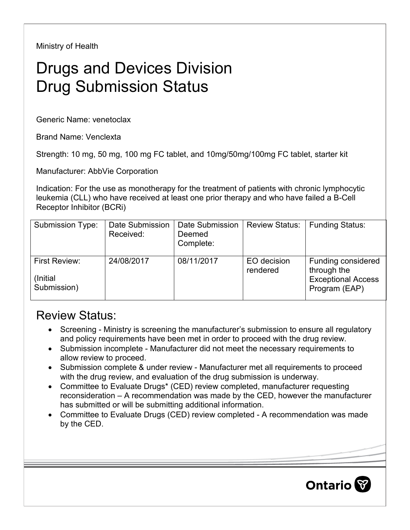Ministry of Health

## Drugs and Devices Division Drug Submission Status

Generic Name: venetoclax

Brand Name: Venclexta

Strength: 10 mg, 50 mg, 100 mg FC tablet, and 10mg/50mg/100mg FC tablet, starter kit

Manufacturer: AbbVie Corporation

Indication: For the use as monotherapy for the treatment of patients with chronic lymphocytic leukemia (CLL) who have received at least one prior therapy and who have failed a B-Cell Receptor Inhibitor (BCRi)

| <b>Submission Type:</b>                  | Date Submission<br>Received: | <b>Date Submission</b><br>Deemed<br>Complete: | <b>Review Status:</b>   | <b>Funding Status:</b>                                                          |
|------------------------------------------|------------------------------|-----------------------------------------------|-------------------------|---------------------------------------------------------------------------------|
| First Review:<br>(Initial<br>Submission) | 24/08/2017                   | 08/11/2017                                    | EO decision<br>rendered | Funding considered<br>through the<br><b>Exceptional Access</b><br>Program (EAP) |

## Review Status:

- Screening Ministry is screening the manufacturer's submission to ensure all regulatory and policy requirements have been met in order to proceed with the drug review.
- Submission incomplete Manufacturer did not meet the necessary requirements to allow review to proceed.
- Submission complete & under review Manufacturer met all requirements to proceed with the drug review, and evaluation of the drug submission is underway.
- Committee to Evaluate Drugs\* (CED) review completed, manufacturer requesting reconsideration – A recommendation was made by the CED, however the manufacturer has submitted or will be submitting additional information.
- Committee to Evaluate Drugs (CED) review completed A recommendation was made by the CED.